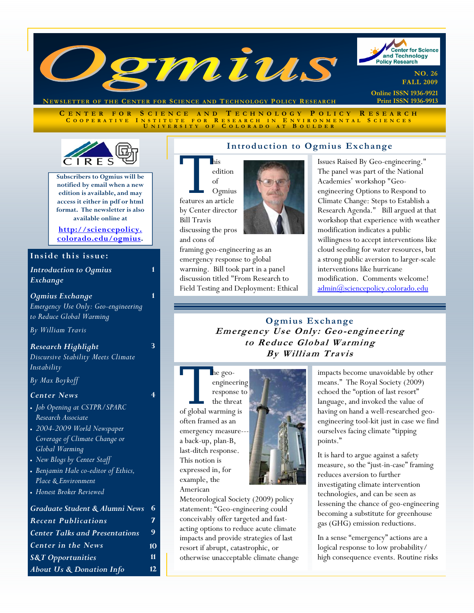

**NEWSLETTER OF THE CENTER FOR SCIENCE AND TECHNOLOGY POLICY** 

**C ENTER FOR S CIENCE AND T ECHNOLOGY P OLICY R ESEARCH C OOPERATIVE I NSTITUTE FOR R ESEARCH I N E NVIRONMENTAL S CIENCES U NIVERSITY O F C OLORADO A T B OULDER**



**Subscribers to Ogmius will be notified by email when a new edition is available, and may access it either in pdf or html format. The newsletter is also available online at** 

**http://sciencepolicy. colorado.edu/ogmius.** 

**1** 

**1** 

**3** 

**4** 

#### Inside this issue:

*Introduction to Ogmius Exchange*

*Ogmius Exchange Emergency Use Only: Geo-engineering to Reduce Global Warming* 

*By William Travis*

*Research Highlight Discursive Stability Meets Climate Instability* 

*By Max Boykoff*

#### *Center News*

- *Job Opening at CSTPR/SPARC Research Associate*
- *2004-2009 World Newspaper Coverage of Climate Change or Global Warming*
- *New Blogs by Center Staff*
- *Benjamin Hale co-editor of Ethics, Place & Environment*
- *Honest Broker Reviewed*

# *Graduate Student & Alumni News* **6**  *Recent Publications* **7**  *Center Talks and Presentations* **9**  *Center in the News* **10**  *S&T Opportunities* **11**  *About Us & Donation Info* **12**

## **Introduction to Ogmius Exchange**

This<br>
edition<br>
of<br>
features an article edition of Ogmius by Center director Bill Travis discussing the pros and cons of

framing geo-engineering as an emergency response to global warming. Bill took part in a panel discussion titled "From Research to Field Testing and Deployment: Ethical Issues Raised By Geo-engineering." The panel was part of the National Academies' workshop "Geoengineering Options to Respond to Climate Change: Steps to Establish a Research Agenda." Bill argued at that workshop that experience with weather modification indicates a public willingness to accept interventions like cloud seeding for water resources, but a strong public aversion to larger-scale interventions like hurricane modification. Comments welcome! admin@sciencepolicy.colorado.edu

## **Ogmius Exchange Emergency Use Only: Geo-engineering to Reduce Global Warming By William Travis**

The geo-<br>
engineerin<br>
response t<br>
the threat<br>
of global warming is engineering response to the threat

often framed as an emergency measurea back-up, plan-B, last-ditch response. This notion is expressed in, for example, the American



Meteorological Society (2009) policy statement: "Geo-engineering could conceivably offer targeted and fastacting options to reduce acute climate impacts and provide strategies of last resort if abrupt, catastrophic, or otherwise unacceptable climate change impacts become unavoidable by other means." The Royal Society (2009) echoed the "option of last resort" language, and invoked the value of having on hand a well-researched geoengineering tool-kit just in case we find ourselves facing climate "tipping points."

It is hard to argue against a safety measure, so the "just-in-case" framing reduces aversion to further investigating climate intervention technologies, and can be seen as lessening the chance of geo-engineering becoming a substitute for greenhouse gas (GHG) emission reductions.

In a sense "emergency" actions are a logical response to low probability/ high consequence events. Routine risks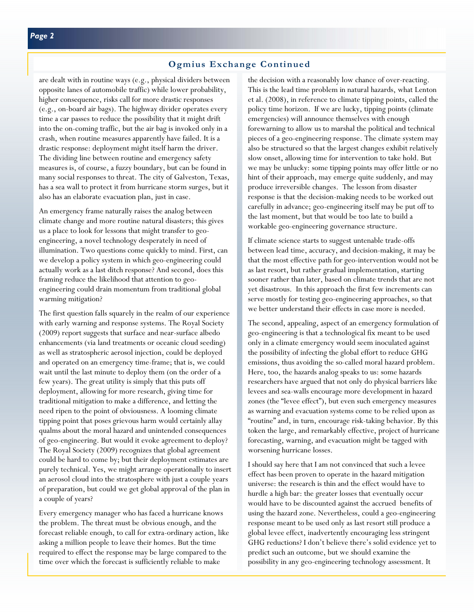## **Ogmius Exchange Continued**

are dealt with in routine ways (e.g., physical dividers between opposite lanes of automobile traffic) while lower probability, higher consequence, risks call for more drastic responses (e.g., on-board air bags). The highway divider operates every time a car passes to reduce the possibility that it might drift into the on-coming traffic, but the air bag is invoked only in a crash, when routine measures apparently have failed. It is a drastic response: deployment might itself harm the driver. The dividing line between routine and emergency safety measures is, of course, a fuzzy boundary, but can be found in many social responses to threat. The city of Galveston, Texas, has a sea wall to protect it from hurricane storm surges, but it also has an elaborate evacuation plan, just in case.

An emergency frame naturally raises the analog between climate change and more routine natural disasters; this gives us a place to look for lessons that might transfer to geoengineering, a novel technology desperately in need of illumination. Two questions come quickly to mind. First, can we develop a policy system in which geo-engineering could actually work as a last ditch response? And second, does this framing reduce the likelihood that attention to geoengineering could drain momentum from traditional global warming mitigation?

The first question falls squarely in the realm of our experience with early warning and response systems. The Royal Society (2009) report suggests that surface and near-surface albedo enhancements (via land treatments or oceanic cloud seeding) as well as stratospheric aerosol injection, could be deployed and operated on an emergency time-frame; that is, we could wait until the last minute to deploy them (on the order of a few years). The great utility is simply that this puts off deployment, allowing for more research, giving time for traditional mitigation to make a difference, and letting the need ripen to the point of obviousness. A looming climate tipping point that poses grievous harm would certainly allay qualms about the moral hazard and unintended consequences of geo-engineering. But would it evoke agreement to deploy? The Royal Society (2009) recognizes that global agreement could be hard to come by; but their deployment estimates are purely technical. Yes, we might arrange operationally to insert an aerosol cloud into the stratosphere with just a couple years of preparation, but could we get global approval of the plan in a couple of years?

Every emergency manager who has faced a hurricane knows the problem. The threat must be obvious enough, and the forecast reliable enough, to call for extra-ordinary action, like asking a million people to leave their homes. But the time required to effect the response may be large compared to the time over which the forecast is sufficiently reliable to make

the decision with a reasonably low chance of over-reacting. This is the lead time problem in natural hazards, what Lenton et al. (2008), in reference to climate tipping points, called the policy time horizon. If we are lucky, tipping points (climate emergencies) will announce themselves with enough forewarning to allow us to marshal the political and technical pieces of a geo-engineering response. The climate system may also be structured so that the largest changes exhibit relatively slow onset, allowing time for intervention to take hold. But we may be unlucky: some tipping points may offer little or no hint of their approach, may emerge quite suddenly, and may produce irreversible changes. The lesson from disaster response is that the decision-making needs to be worked out carefully in advance; geo-engineering itself may be put off to the last moment, but that would be too late to build a workable geo-engineering governance structure.

If climate science starts to suggest untenable trade-offs between lead time, accuracy, and decision-making, it may be that the most effective path for geo-intervention would not be as last resort, but rather gradual implementation, starting sooner rather than later, based on climate trends that are not yet disastrous. In this approach the first few increments can serve mostly for testing geo-engineering approaches, so that we better understand their effects in case more is needed.

The second, appealing, aspect of an emergency formulation of geo-engineering is that a technological fix meant to be used only in a climate emergency would seem inoculated against the possibility of infecting the global effort to reduce GHG emissions, thus avoiding the so-called moral hazard problem. Here, too, the hazards analog speaks to us: some hazards researchers have argued that not only do physical barriers like levees and sea-walls encourage more development in hazard zones (the "levee effect"), but even such emergency measures as warning and evacuation systems come to be relied upon as "routine" and, in turn, encourage risk-taking behavior. By this token the large, and remarkably effective, project of hurricane forecasting, warning, and evacuation might be tagged with worsening hurricane losses.

I should say here that I am not convinced that such a levee effect has been proven to operate in the hazard mitigation universe: the research is thin and the effect would have to hurdle a high bar: the greater losses that eventually occur would have to be discounted against the accrued benefits of using the hazard zone. Nevertheless, could a geo-engineering response meant to be used only as last resort still produce a global levee effect, inadvertently encouraging less stringent GHG reductions? I don't believe there's solid evidence yet to predict such an outcome, but we should examine the possibility in any geo-engineering technology assessment. It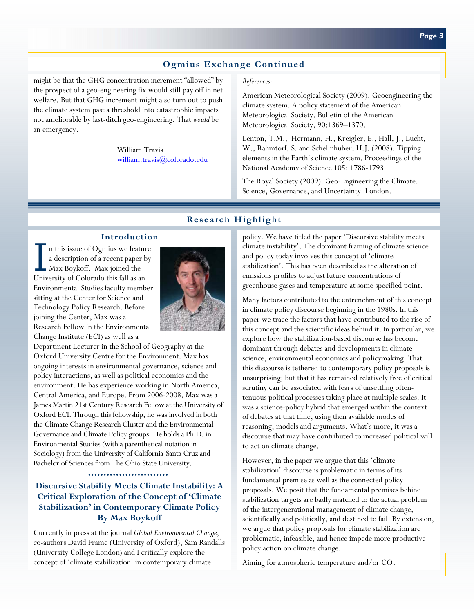# **Ogmius Exchange Continued**

might be that the GHG concentration increment "allowed" by the prospect of a geo-engineering fix would still pay off in net welfare. But that GHG increment might also turn out to push the climate system past a threshold into catastrophic impacts not ameliorable by last-ditch geo-engineering. That *would* be an emergency.

> William Travis william.travis@colorado.edu

#### *References:*

American Meteorological Society (2009). Geoengineering the climate system: A policy statement of the American Meteorological Society. Bulletin of the American Meteorological Society, 90:1369–1370.

Lenton, T.M., Hermann, H., Kreigler, E., Hall, J., Lucht, W., Rahmtorf, S. and Schellnhuber, H.J. (2008). Tipping elements in the Earth's climate system. Proceedings of the National Academy of Science 105: 1786-1793.

The Royal Society (2009). Geo-Engineering the Climate: Science, Governance, and Uncertainty. London.

## **Research Highlight**

#### **Introduction**

I n this issue of Ogmius we feature a description of a recent paper by Max Boykoff. Max joined the University of Colorado this fall as an Environmental Studies faculty member sitting at the Center for Science and Technology Policy Research. Before joining the Center, Max was a Research Fellow in the Environmental Change Institute (ECI) as well as a



Department Lecturer in the School of Geography at the Oxford University Centre for the Environment. Max has ongoing interests in environmental governance, science and policy interactions, as well as political economics and the environment. He has experience working in North America, Central America, and Europe. From 2006-2008, Max was a James Martin 21st Century Research Fellow at the University of Oxford ECI. Through this fellowship, he was involved in both the Climate Change Research Cluster and the Environmental Governance and Climate Policy groups. He holds a Ph.D. in Environmental Studies (with a parenthetical notation in Sociology) from the University of California-Santa Cruz and Bachelor of Sciences from The Ohio State University.

#### 

## **Discursive Stability Meets Climate Instability: A Critical Exploration of the Concept of 'Climate Stabilization' in Contemporary Climate Policy By Max Boykoff**

Currently in press at the journal *Global Environmental Change*, co-authors David Frame (University of Oxford), Sam Randalls (University College London) and I critically explore the concept of 'climate stabilization' in contemporary climate

policy. We have titled the paper 'Discursive stability meets climate instability'. The dominant framing of climate science and policy today involves this concept of 'climate stabilization'. This has been described as the alteration of emissions profiles to adjust future concentrations of greenhouse gases and temperature at some specified point.

Many factors contributed to the entrenchment of this concept in climate policy discourse beginning in the 1980s. In this paper we trace the factors that have contributed to the rise of this concept and the scientific ideas behind it. In particular, we explore how the stabilization-based discourse has become dominant through debates and developments in climate science, environmental economics and policymaking. That this discourse is tethered to contemporary policy proposals is unsurprising; but that it has remained relatively free of critical scrutiny can be associated with fears of unsettling oftentenuous political processes taking place at multiple scales. It was a science-policy hybrid that emerged within the context of debates at that time, using then available modes of reasoning, models and arguments. What's more, it was a discourse that may have contributed to increased political will to act on climate change.

However, in the paper we argue that this 'climate stabilization' discourse is problematic in terms of its fundamental premise as well as the connected policy proposals. We posit that the fundamental premises behind stabilization targets are badly matched to the actual problem of the intergenerational management of climate change, scientifically and politically, and destined to fail. By extension, we argue that policy proposals for climate stabilization are problematic, infeasible, and hence impede more productive policy action on climate change.

Aiming for atmospheric temperature and/or  $CO<sub>2</sub>$ ,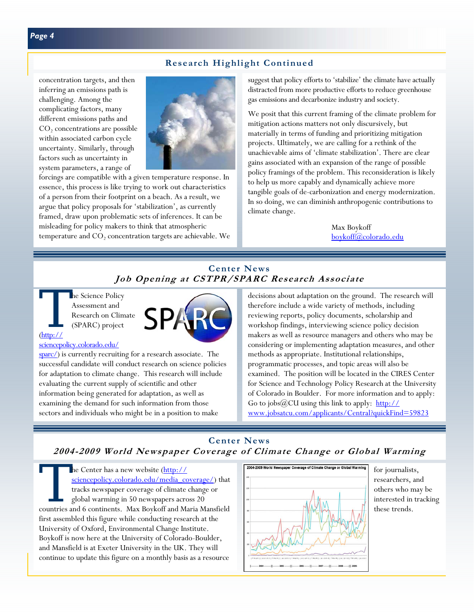## **Research Highlight Continued**

concentration targets, and then inferring an emissions path is challenging. Among the complicating factors, many different emissions paths and  $CO<sub>2</sub>$  concentrations are possible within associated carbon cycle uncertainty. Similarly, through factors such as uncertainty in system parameters, a range of



forcings are compatible with a given temperature response. In essence, this process is like trying to work out characteristics of a person from their footprint on a beach. As a result, we argue that policy proposals for 'stabilization', as currently framed, draw upon problematic sets of inferences. It can be misleading for policy makers to think that atmospheric temperature and  $CO<sub>2</sub>$  concentration targets are achievable. We suggest that policy efforts to 'stabilize' the climate have actually distracted from more productive efforts to reduce greenhouse gas emissions and decarbonize industry and society.

We posit that this current framing of the climate problem for mitigation actions matters not only discursively, but materially in terms of funding and prioritizing mitigation projects. Ultimately, we are calling for a rethink of the unachievable aims of 'climate stabilization'. There are clear gains associated with an expansion of the range of possible policy framings of the problem. This reconsideration is likely to help us more capably and dynamically achieve more tangible goals of de-carbonization and energy modernization. In so doing, we can diminish anthropogenic contributions to climate change.

> Max Boykoff boykoff@colorado.edu

# **Center News Job Opening at CSTPR/SPARC Research Associate**

The Science Policy<br>Assessment and<br>Research on Clim<br>(SPARC) project Assessment and Research on Climate (SPARC) project

#### sciencepolicy.colorado.edu/

(http://

sparc/) is currently recruiting for a research associate. The successful candidate will conduct research on science policies for adaptation to climate change. This research will include evaluating the current supply of scientific and other information being generated for adaptation, as well as examining the demand for such information from those sectors and individuals who might be in a position to make

decisions about adaptation on the ground. The research will therefore include a wide variety of methods, including reviewing reports, policy documents, scholarship and workshop findings, interviewing science policy decision makers as well as resource managers and others who may be considering or implementing adaptation measures, and other methods as appropriate. Institutional relationships, programmatic processes, and topic areas will also be examined. The position will be located in the CIRES Center for Science and Technology Policy Research at the University of Colorado in Boulder. For more information and to apply: Go to jobs@CU using this link to apply: http:// www.jobsatcu.com/applicants/Central?quickFind=59823

# **Center News 2004-2009 World Newspaper Coverage of Climate Change or Global Warming**

The Center has a new website (http://<br>sciencepolicy.colorado.edu/media\_co<br>tracks newspaper coverage of climate<br>global warming in 50 newspapers acro<br>countries and 6 continents. Max Boykoff and M sciencepolicy.colorado.edu/media\_coverage/) that tracks newspaper coverage of climate change or global warming in 50 newspapers across 20 countries and 6 continents. Max Boykoff and Maria Mansfield first assembled this figure while conducting research at the University of Oxford, Environmental Change Institute. Boykoff is now here at the University of Colorado-Boulder, and Mansfield is at Exeter University in the UK. They will continue to update this figure on a monthly basis as a resource



for journalists, researchers, and others who may be interested in tracking these trends.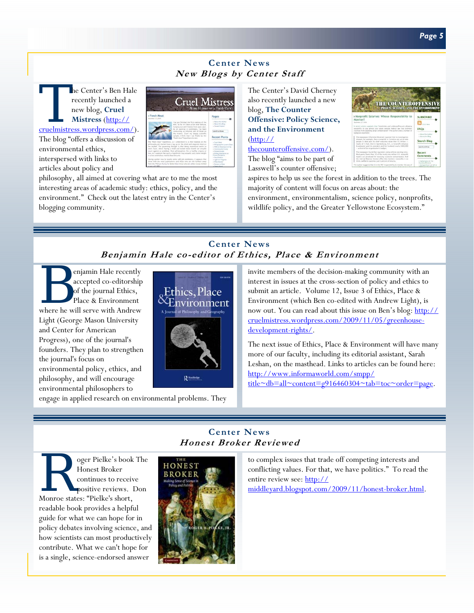## **Center News New Blogs by Center Staff**

The Center's Ben Hale<br>
recently launched a<br>
new blog, Cruel<br>
Mistress (http://<br>
cruelmistress.wordpress.com/). recently launched a new blog, **Cruel Mistress** (http:// The blog "offers a discussion of environmental ethics,

interspersed with links to articles about policy and



philosophy, all aimed at covering what are to me the most interesting areas of academic study: ethics, policy, and the environment." Check out the latest entry in the Center's blogging community.

The Center's David Cherney also recently launched a new blog, **The Counter Offensive: Policy Science, and the Environment**  (http:// thecounteroffensive.com/).

The blog "aims to be part of Lasswell's counter offensive;



aspires to help us see the forest in addition to the trees. The majority of content will focus on areas about: the environment, environmentalism, science policy, nonprofits, wildlife policy, and the Greater Yellowstone Ecosystem."

# **Center News Benjamin Hale co-editor of Ethics, Place & Environment**

**Center News Honest Broker Reviewed** 

**B enjamin Hale recently**<br>accepted co-editorship<br>of the journal Ethics,<br>place & Environment<br>where he will serve with Andrew accepted co-editorship of the journal Ethics, Place & Environment Light (George Mason University and Center for American Progress), one of the journal's founders. They plan to strengthen the journal's focus on environmental policy, ethics, and philosophy, and will encourage environmental philosophers to



engage in applied research on environmental problems. They

invite members of the decision-making community with an interest in issues at the cross-section of policy and ethics to submit an article. Volume 12, Issue 3 of Ethics, Place & Environment (which Ben co-edited with Andrew Light), is now out. You can read about this issue on Ben's blog: http:// cruelmistress.wordpress.com/2009/11/05/greenhousedevelopment-rights/.

The next issue of Ethics, Place & Environment will have many more of our faculty, including its editorial assistant, Sarah Leshan, on the masthead. Links to articles can be found here: http://www.informaworld.com/smpp/

title~db=all~content=g916460304~tab=toc~order=page.

Super Pielke's book The<br>Honest Broker<br>Continues to receive<br>positive reviews. Don<br>Monroe states: "Pielke's short. Honest Broker continues to receive positive reviews. Don Monroe states: "Pielke's short, readable book provides a helpful guide for what we can hope for in policy debates involving science, and how scientists can most productively contribute. What we can't hope for is a single, science-endorsed answer



to complex issues that trade off competing interests and conflicting values. For that, we have politics." To read the entire review see: http://

middleyard.blogspot.com/2009/11/honest-broker.html.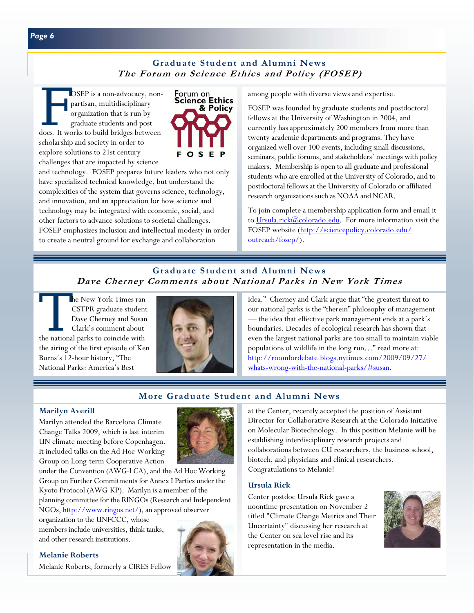## **Graduate Student and Alumni News The Forum on Science Ethics and Policy (FOSEP)**

OSEP is a non-advocacy, non-<br>partisan, multidisciplinary<br>organization that is run by<br>graduate students and post<br>docs. It works to build bridges between partisan, multidisciplinary organization that is run by graduate students and post scholarship and society in order to explore solutions to 21st century challenges that are impacted by science



and technology. FOSEP prepares future leaders who not only have specialized technical knowledge, but understand the complexities of the system that governs science, technology, and innovation, and an appreciation for how science and technology may be integrated with economic, social, and other factors to advance solutions to societal challenges. FOSEP emphasizes inclusion and intellectual modesty in order to create a neutral ground for exchange and collaboration

among people with diverse views and expertise.

FOSEP was founded by graduate students and postdoctoral fellows at the University of Washington in 2004, and currently has approximately 200 members from more than twenty academic departments and programs. They have organized well over 100 events, including small discussions, seminars, public forums, and stakeholders' meetings with policy makers. Membership is open to all graduate and professional students who are enrolled at the University of Colorado, and to postdoctoral fellows at the University of Colorado or affiliated research organizations such as NOAA and NCAR.

To join complete a membership application form and email it to Ursula.rick $\omega$ colorado.edu. For more information visit the FOSEP website (http://sciencepolicy.colorado.edu/ outreach/fosep/).

## **Graduate Student and Alumni News Dave Cherney Comments about National Parks in New York Times**

The New York Times ran CSTPR graduate student<br>Dave Cherney and Susan Clark's comment about<br>the national parks to coincide with CSTPR graduate student Dave Cherney and Susan Clark's comment about the airing of the first episode of Ken Burns's 12-hour history, "The National Parks: America's Best



Idea." Cherney and Clark argue that "the greatest threat to our national parks is the "therein" philosophy of management — the idea that effective park management ends at a park's boundaries. Decades of ecological research has shown that even the largest national parks are too small to maintain viable populations of wildlife in the long run…" read more at: http://roomfordebate.blogs.nytimes.com/2009/09/27/ whats-wrong-with-the-national-parks/#susan.

## **More Graduate Student and Alumni News**

#### **Marilyn Averill**

Marilyn attended the Barcelona Climate Change Talks 2009, which is last interim UN climate meeting before Copenhagen. It included talks on the Ad Hoc Working Group on Long-term Cooperative Action



under the Convention (AWG-LCA), and the Ad Hoc Working Group on Further Commitments for Annex I Parties under the Kyoto Protocol (AWG-KP). Marilyn is a member of the planning committee for the RINGOs (Research and Independent NGOs, http://www.ringos.net/), an approved observer

organization to the UNFCCC, whose members include universities, think tanks, and other research institutions.

**Melanie Roberts** 

Melanie Roberts, formerly a CIRES Fellow

at the Center, recently accepted the position of Assistant Director for Collaborative Research at the Colorado Initiative on Molecular Biotechnology. In this position Melanie will be establishing interdisciplinary research projects and collaborations between CU researchers, the business school, biotech, and physicians and clinical researchers. Congratulations to Melanie!

#### **Ursula Rick**

Center postdoc Ursula Rick gave a noontime presentation on November 2 titled "Climate Change Metrics and Their Uncertainty" discussing her research at the Center on sea level rise and its representation in the media.

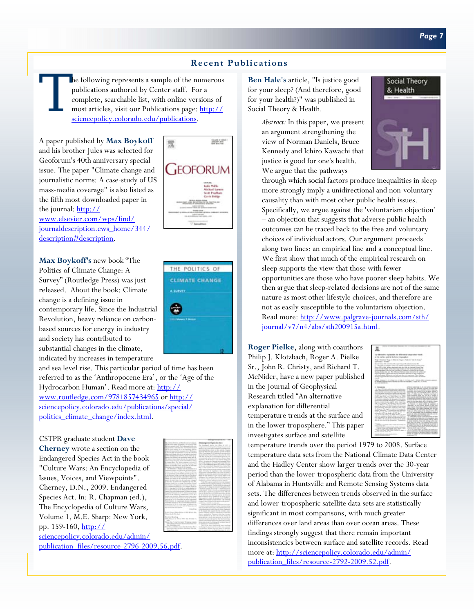# **Recent Publications**

he following represents a sample of the numerous publications authored by Center staff. For a complete, searchable list, with online versions of most articles, visit our Publications page: http:// sciencepolicy.colorado.edu/publications.

A paper published by **Max Boykoff**  and his brother Jules was selected for Geoforum's 40th anniversary special issue. The paper "Climate change and journalistic norms: A case-study of US mass-media coverage" is also listed as the fifth most downloaded paper in the journal: http:// www.elsevier.com/wps/find/ journaldescription.cws\_home/344/ description#description.

**Max Boykoff's** new book "The Politics of Climate Change: A Survey" (Routledge Press) was just released. About the book: Climate change is a defining issue in contemporary life. Since the Industrial Revolution, heavy reliance on carbonbased sources for energy in industry and society has contributed to substantial changes in the climate, indicated by increases in temperature

and sea level rise. This particular period of time has been referred to as the 'Anthropocene Era', or the 'Age of the Hydrocarbon Human'. Read more at: http:// www.routledge.com/9781857434965 or http:// sciencepolicy.colorado.edu/publications/special/ politics\_climate\_change/index.html.

CSTPR graduate student **Dave Cherney** wrote a section on the Endangered Species Act in the book "Culture Wars: An Encyclopedia of Issues, Voices, and Viewpoints". Cherney, D.N., 2009. Endangered Species Act. In: R. Chapman (ed.), The Encyclopedia of Culture Wars, Volume 1, M.E. Sharp: New York, pp. 159-160, http://







**Ben Hale's** article, "Is justice good for your sleep? (And therefore, good for your health?)" was published in Social Theory & Health.

> *Abstract:* In this paper, we present an argument strengthening the view of Norman Daniels, Bruce Kennedy and Ichiro Kawachi that justice is good for one's health. We argue that the pathways



through which social factors produce inequalities in sleep more strongly imply a unidirectional and non-voluntary causality than with most other public health issues. Specifically, we argue against the 'voluntarism objection' – an objection that suggests that adverse public health outcomes can be traced back to the free and voluntary choices of individual actors. Our argument proceeds along two lines: an empirical line and a conceptual line. We first show that much of the empirical research on sleep supports the view that those with fewer opportunities are those who have poorer sleep habits. We then argue that sleep-related decisions are not of the same nature as most other lifestyle choices, and therefore are not as easily susceptible to the voluntarism objection. Read more: http://www.palgrave-journals.com/sth/ journal/v7/n4/abs/sth200915a.html.

**Roger Pielke**, along with coauthors Philip J. Klotzbach, Roger A. Pielke Sr., John R. Christy, and Richard T. McNider, have a new paper published in the Journal of Geophysical Research titled "An alternative explanation for differential temperature trends at the surface and in the lower troposphere." This paper investigates surface and satellite



temperature trends over the period 1979 to 2008. Surface temperature data sets from the National Climate Data Center and the Hadley Center show larger trends over the 30-year period than the lower-tropospheric data from the University of Alabama in Huntsville and Remote Sensing Systems data sets. The differences between trends observed in the surface and lower-tropospheric satellite data sets are statistically significant in most comparisons, with much greater differences over land areas than over ocean areas. These findings strongly suggest that there remain important inconsistencies between surface and satellite records. Read more at: http://sciencepolicy.colorado.edu/admin/ publication\_files/resource-2792-2009.52.pdf.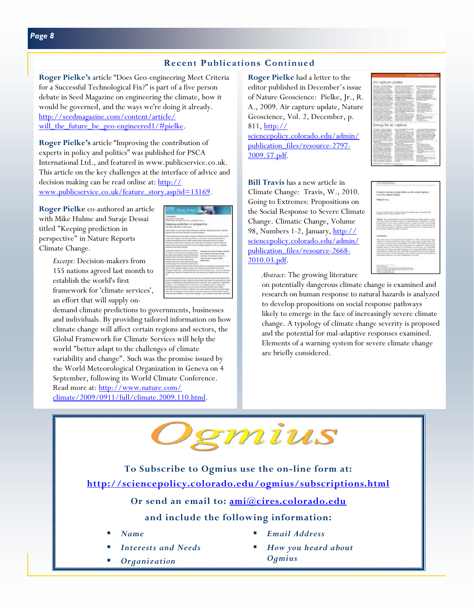# **Recent Publications Continued**

**Roger Pielke's** article "Does Geo-engineering Meet Criteria for a Successful Technological Fix?" is part of a five person debate in Seed Magazine on engineering the climate, how it would be governed, and the ways we're doing it already. http://seedmagazine.com/content/article/ will the future be geo-engineered1/#pielke.

**Roger Pielke's** article "Improving the contribution of experts in policy and politics" was published for PSCA International Ltd., and featured in www.publicservice.co.uk. This article on the key challenges at the interface of advice and decision making can be read online at: http:// www.publicservice.co.uk/feature\_story.asp?id=13169.

**Roger Pielke** co-authored an article with Mike Hulme and Suraje Dessai titled "Keeping prediction in perspective" in Nature Reports Climate Change.

> *Excerpt:* Decision-makers from 155 nations agreed last month to establish the world's first framework for 'climate services', an effort that will supply on-

demand climate predictions to governments, businesses and individuals. By providing tailored information on how climate change will affect certain regions and sectors, the Global Framework for Climate Services will help the world "better adapt to the challenges of climate variability and change". Such was the promise issued by the World Meteorological Organization in Geneva on 4 September, following its World Climate Conference. Read more at: http://www.nature.com/ climate/2009/0911/full/climate.2009.110.html.

**Roger Pielke** had a letter to the editor published in December's issue of Nature Geoscience: Pielke, Jr., R. A., 2009. Air capture update, Nature Geoscience, Vol. 2, December, p. 811, http:// sciencepolicy.colorado.edu/admin/ publication\_files/resource-2797- 2009.57.pdf.

**Bill Travis** has a new article in Climate Change: Travis, W., 2010. Going to Extremes: Propositions on the Social Response to Severe Climate Change. Climatic Change, Volume 98, Numbers 1-2, January, http:// sciencepolicy.colorado.edu/admin/ publication\_files/resource-2668-2010.03.pdf.



|                                                     | and the ability state of                                                                                                                                                                                                                                                                                                                                                                                                                                                                                                                                                                                                                                                                                                                                                                                                                                                                                                                                                                                                                                 |
|-----------------------------------------------------|----------------------------------------------------------------------------------------------------------------------------------------------------------------------------------------------------------------------------------------------------------------------------------------------------------------------------------------------------------------------------------------------------------------------------------------------------------------------------------------------------------------------------------------------------------------------------------------------------------------------------------------------------------------------------------------------------------------------------------------------------------------------------------------------------------------------------------------------------------------------------------------------------------------------------------------------------------------------------------------------------------------------------------------------------------|
|                                                     | ing in convenient pleasure<br>the product of the product of the product<br>An Arrested (Militardire (Analysis)<br><b>STAR</b>                                                                                                                                                                                                                                                                                                                                                                                                                                                                                                                                                                                                                                                                                                                                                                                                                                                                                                                            |
| Y                                                   | <b>TO REPORT RELEASED AT SAFE</b><br>Business Chrysler (Mr. Scrape) Miles (Mr. Depokur) and Chrysler (Mr.<br>Change-Today, Thomas Science of the<br>v<br>- 2002 B                                                                                                                                                                                                                                                                                                                                                                                                                                                                                                                                                                                                                                                                                                                                                                                                                                                                                        |
|                                                     | Monas Tel armaz benefic is prevailed degrees shows these is start.<br>thick and finduced as therein stratings in capacity burneds to eligiblicate in detection.<br>promption to state expose polices that is charge to be feel of technically<br>station offered change. A countlass of changes descriptively a catalogue and the<br>industry for balcomedial signation company. Thereone all a product scaling for<br>drive than this or link conduct<br><b>Representative</b>                                                                                                                                                                                                                                                                                                                                                                                                                                                                                                                                                                          |
|                                                     | <b>THE REPORT OF A REPORT OF A STATE OF A REPORT OF A REPORT OF A REPORT OF A STATE OF A REPORT OF A REPORT OF A REPORT OF A REPORT OF A REPORT OF A REPORT OF A REPORT OF A REPORT OF A REPORT OF A REPORT OF A REPORT OF A REP</b><br>The print debto is express from Finde a A 1994 call but do parel.<br>policial in Scaling Fatascus Chick Theirs prescribes of the Torics, TA<br>policies in the wide state. Disclaiments a de 1991. Two authorities for any<br>the current of the content of the analysis and content to content of the content<br>attack disper is do makers are severe at ours. As to transition<br>repression of a damp that this designs is an imposed off such from the<br>more down (Track it at 1944, and others column with and informational<br>decrea domina com decembras a de departemento e los provisionales.<br>police develops an expected indebtedness at \$500. The art of the con-<br><b>The State of the State of the State of the State of the State of the State of the State of the State of the State</b> |
| <b>With Freeholds</b><br>class consideration of the | <b>CONTRACTOR</b><br>Contractor design at the contract is an exception of the con-<br>July in home at National Machinese Archite<br>Brooks, CA (Andrew Alle 1710)                                                                                                                                                                                                                                                                                                                                                                                                                                                                                                                                                                                                                                                                                                                                                                                                                                                                                        |

*Abstract:* The growing literature

on potentially dangerous climate change is examined and research on human response to natural hazards is analyzed to develop propositions on social response pathways likely to emerge in the face of increasingly severe climate change. A typology of climate change severity is proposed and the potential for mal-adaptive responses examined. Elements of a warning system for severe climate change are briefly considered.



**To Subscribe to Ogmius use the on-line form at: http://sciencepolicy.colorado.edu/ogmius/subscriptions.html**

**Or send an email to: ami@cires.colorado.edu**

# **and include the following information:**

- *Name*
- *Interests and Needs*
- *Organization*
- *Email Address*
- *How you heard about Ogmius*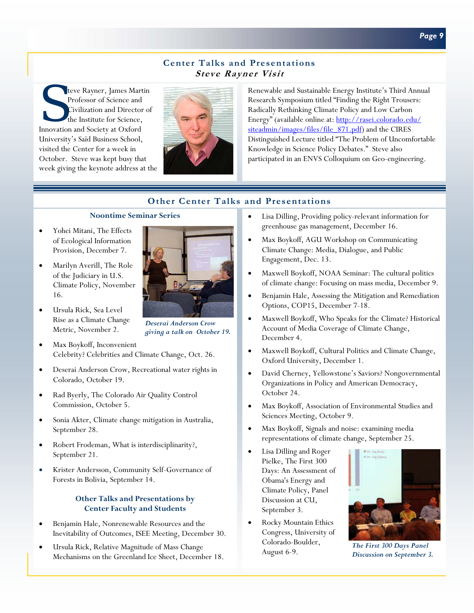## **Center Talks and Presentations Steve Rayner Visit**

teve Rayner, James Martin Professor of Science and Civilization and Director of the Institute for Science, Innovation and Society at Oxford University's Saïd Business School, visited the Center for a week in October. Steve was kept busy that week giving the keynote address at the



Renewable and Sustainable Energy Institute's Third Annual Research Symposium titled "Finding the Right Trousers: Radically Rethinking Climate Policy and Low Carbon Energy" (available online at: http://rasei.colorado.edu/ siteadmin/images/files/file\_871.pdf) and the CIRES Distinguished Lecture titled "The Problem of Uncomfortable Knowledge in Science Policy Debates." Steve also participated in an ENVS Colloquium on Geo-engineering.

# **Other Center Talks and Presentations**

#### **Noontime Seminar Series**

- Yohei Mitani, The Effects of Ecological Information Provision, December 7.
- Marilyn Averill, The Role of the Judiciary in U.S. Climate Policy, November 16.
- Ursula Rick, Sea Level Rise as a Climate Change Metric, November 2.
- Max Boykoff, Inconvenient Celebrity? Celebrities and Climate Change, Oct. 26.
- Deserai Anderson Crow, Recreational water rights in Colorado, October 19.
- Rad Byerly, The Colorado Air Quality Control Commission, October 5.
- Sonia Akter, Climate change mitigation in Australia, September 28.
- Robert Frodeman, What is interdisciplinarity?, September 21.
- Krister Andersson, Community Self-Governance of Forests in Bolivia, September 14.

## **Other Talks and Presentations by Center Faculty and Students**

- Benjamin Hale, Nonrenewable Resources and the Inevitability of Outcomes, ISEE Meeting, December 30.
- Ursula Rick, Relative Magnitude of Mass Change Mechanisms on the Greenland Ice Sheet, December 18.



- Max Boykoff, AGU Workshop on Communicating Climate Change: Media, Dialogue, and Public Engagement, Dec. 13.
- Maxwell Boykoff, NOAA Seminar: The cultural politics of climate change: Focusing on mass media, December 9.
- Benjamin Hale, Assessing the Mitigation and Remediation Options, COP15, December 7-18.
- Maxwell Boykoff, Who Speaks for the Climate? Historical Account of Media Coverage of Climate Change, December 4.
- Maxwell Boykoff, Cultural Politics and Climate Change, Oxford University, December 1.
- David Cherney, Yellowstone's Saviors? Nongovernmental Organizations in Policy and American Democracy, October 24.
- Max Boykoff, Association of Environmental Studies and Sciences Meeting, October 9.
- Max Boykoff, Signals and noise: examining media representations of climate change, September 25.
- Lisa Dilling and Roger Pielke, The First 300 Days: An Assessment of Obama's Energy and Climate Policy, Panel Discussion at CU, September 3.
- Rocky Mountain Ethics Congress, University of Colorado-Boulder, August 6-9.



*The First 300 Days Panel Discussion on September 3.* 



*Deserai Anderson Crow giving a talk on October 19.*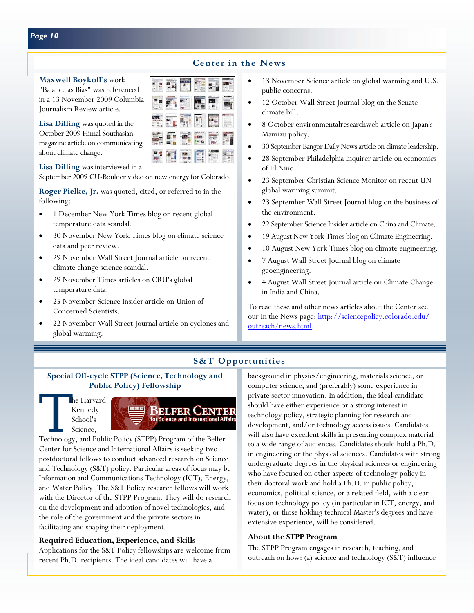# **Center in the News**

**Maxwell Boykoff's** work

"Balance as Bias" was referenced in a 13 November 2009 Columbia Journalism Review article.

**Lisa Dilling** was quoted in the October 2009 Himal Southasian magazine article on communicating about climate change.

**Lisa Dilling** was interviewed in a September 2009 CU-Boulder video on new energy for Colorado.

**Roger Pielke, Jr.** was quoted, cited, or referred to in the following:

- 1 December New York Times blog on recent global temperature data scandal.
- 30 November New York Times blog on climate science data and peer review.
- 29 November Wall Street Journal article on recent climate change science scandal.
- 29 November Times articles on CRU's global temperature data.
- 25 November Science Insider article on Union of Concerned Scientists.
- 22 November Wall Street Journal article on cyclones and global warming.

#### • 13 November Science article on global warming and U.S. public concerns.

- 12 October Wall Street Journal blog on the Senate climate bill.
- 8 October environmentalresearchweb article on Japan's Mamizu policy.
- 30 September Bangor Daily News article on climate leadership.
- 28 September Philadelphia Inquirer article on economics of El Niño.
- 23 September Christian Science Monitor on recent UN global warming summit.
- 23 September Wall Street Journal blog on the business of the environment.
- 22 September Science Insider article on China and Climate.
- 19 August New York Times blog on Climate Engineering.
- 10 August New York Times blog on climate engineering.
- 7 August Wall Street Journal blog on climate geoengineering.
- 4 August Wall Street Journal article on Climate Change in India and China.

To read these and other news articles about the Center see our In the News page: http://sciencepolicy.colorado.edu/ outreach/news.html.

# **S&T Opportunities**

## **Special Off-cycle STPP (Science, Technology and Public Policy) Fellowship**

Kennedy School's Science,



Center for Science and International Affairs is seeking two postdoctoral fellows to conduct advanced research on Science and Technology (S&T) policy. Particular areas of focus may be Information and Communications Technology (ICT), Energy, and Water Policy. The S&T Policy research fellows will work with the Director of the STPP Program. They will do research on the development and adoption of novel technologies, and the role of the government and the private sectors in facilitating and shaping their deployment.

## **Required Education, Experience, and Skills**

Applications for the S&T Policy fellowships are welcome from recent Ph.D. recipients. The ideal candidates will have a

background in physics/engineering, materials science, or computer science, and (preferably) some experience in private sector innovation. In addition, the ideal candidate should have either experience or a strong interest in technology policy, strategic planning for research and development, and/or technology access issues. Candidates will also have excellent skills in presenting complex material to a wide range of audiences. Candidates should hold a Ph.D. in engineering or the physical sciences. Candidates with strong undergraduate degrees in the physical sciences or engineering who have focused on other aspects of technology policy in their doctoral work and hold a Ph.D. in public policy, economics, political science, or a related field, with a clear focus on technology policy (in particular in ICT, energy, and water), or those holding technical Master's degrees and have extensive experience, will be considered.

## **About the STPP Program**

The STPP Program engages in research, teaching, and outreach on how: (a) science and technology (S&T) influence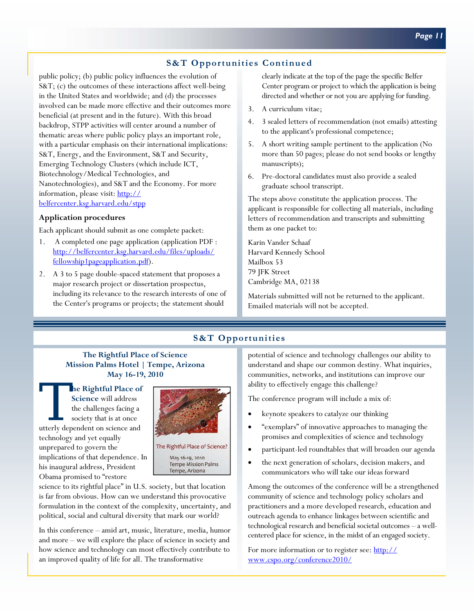# **S&T Opportunities Continued**

public policy; (b) public policy influences the evolution of S&T; (c) the outcomes of these interactions affect well-being in the United States and worldwide; and (d) the processes involved can be made more effective and their outcomes more beneficial (at present and in the future). With this broad backdrop, STPP activities will center around a number of thematic areas where public policy plays an important role, with a particular emphasis on their international implications: S&T, Energy, and the Environment, S&T and Security, Emerging Technology Clusters (which include ICT, Biotechnology/Medical Technologies, and Nanotechnologies), and S&T and the Economy. For more information, please visit: http:// belfercenter.ksg.harvard.edu/stpp

#### **Application procedures**

Each applicant should submit as one complete packet:

- 1. A completed one page application (application PDF : http://belfercenter.ksg.harvard.edu/files/uploads/ fellowship1pageapplication.pdf).
- 2. A 3 to 5 page double-spaced statement that proposes a major research project or dissertation prospectus, including its relevance to the research interests of one of the Center's programs or projects; the statement should

clearly indicate at the top of the page the specific Belfer Center program or project to which the application is being directed and whether or not you are applying for funding.

- 3. A curriculum vitae;
- 4. 3 sealed letters of recommendation (not emails) attesting to the applicant's professional competence;
- 5. A short writing sample pertinent to the application (No more than 50 pages; please do not send books or lengthy manuscripts);
- 6. Pre-doctoral candidates must also provide a sealed graduate school transcript.

The steps above constitute the application process. The applicant is responsible for collecting all materials, including letters of recommendation and transcripts and submitting them as one packet to:

Karin Vander Schaaf Harvard Kennedy School Mailbox 53 79 JFK Street Cambridge MA, 02138

Materials submitted will not be returned to the applicant. Emailed materials will not be accepted.

## **S&T Opportunities**

#### **The Rightful Place of Science Mission Palms Hotel | Tempe, Arizona May 16-19, 2010**

The Rightful Place of Science will address<br>the challenges facing a<br>society that is at once<br>utterly dependent on science and **Science** will address the challenges facing a society that is at once technology and yet equally unprepared to govern the implications of that dependence. In his inaugural address, President Obama promised to "restore



The Rightful Place of Science? May 16-19, 2010 **Tempe Mission Palms** 

Tempe, Arizona

science to its rightful place" in U.S. society, but that location is far from obvious. How can we understand this provocative formulation in the context of the complexity, uncertainty, and political, social and cultural diversity that mark our world?

In this conference – amid art, music, literature, media, humor and more – we will explore the place of science in society and how science and technology can most effectively contribute to an improved quality of life for all. The transformative

potential of science and technology challenges our ability to understand and shape our common destiny. What inquiries, communities, networks, and institutions can improve our ability to effectively engage this challenge?

The conference program will include a mix of:

- keynote speakers to catalyze our thinking
- "exemplars" of innovative approaches to managing the promises and complexities of science and technology
- participant-led roundtables that will broaden our agenda
- the next generation of scholars, decision makers, and communicators who will take our ideas forward

Among the outcomes of the conference will be a strengthened community of science and technology policy scholars and practitioners and a more developed research, education and outreach agenda to enhance linkages between scientific and technological research and beneficial societal outcomes – a wellcentered place for science, in the midst of an engaged society.

For more information or to register see: http:// www.cspo.org/conference2010/